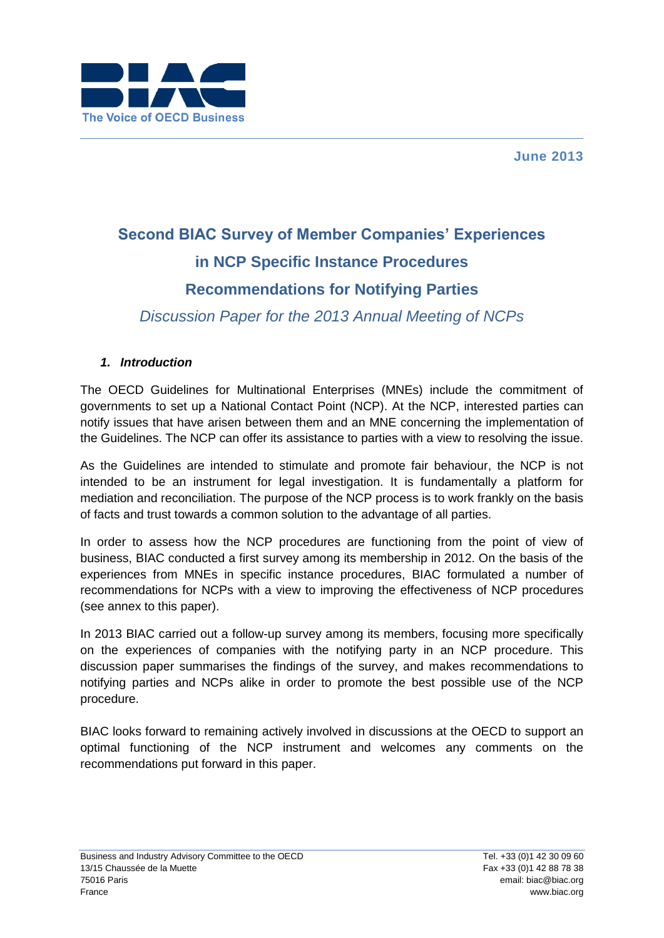



# **Second BIAC Survey of Member Companies' Experiences in NCP Specific Instance Procedures Recommendations for Notifying Parties**

*Discussion Paper for the 2013 Annual Meeting of NCPs*

## *1. Introduction*

The OECD Guidelines for Multinational Enterprises (MNEs) include the commitment of governments to set up a National Contact Point (NCP). At the NCP, interested parties can notify issues that have arisen between them and an MNE concerning the implementation of the Guidelines. The NCP can offer its assistance to parties with a view to resolving the issue.

As the Guidelines are intended to stimulate and promote fair behaviour, the NCP is not intended to be an instrument for legal investigation. It is fundamentally a platform for mediation and reconciliation. The purpose of the NCP process is to work frankly on the basis of facts and trust towards a common solution to the advantage of all parties.

In order to assess how the NCP procedures are functioning from the point of view of business, BIAC conducted a first survey among its membership in 2012. On the basis of the experiences from MNEs in specific instance procedures, BIAC formulated a number of recommendations for NCPs with a view to improving the effectiveness of NCP procedures (see annex to this paper).

In 2013 BIAC carried out a follow-up survey among its members, focusing more specifically on the experiences of companies with the notifying party in an NCP procedure. This discussion paper summarises the findings of the survey, and makes recommendations to notifying parties and NCPs alike in order to promote the best possible use of the NCP procedure.

BIAC looks forward to remaining actively involved in discussions at the OECD to support an optimal functioning of the NCP instrument and welcomes any comments on the recommendations put forward in this paper.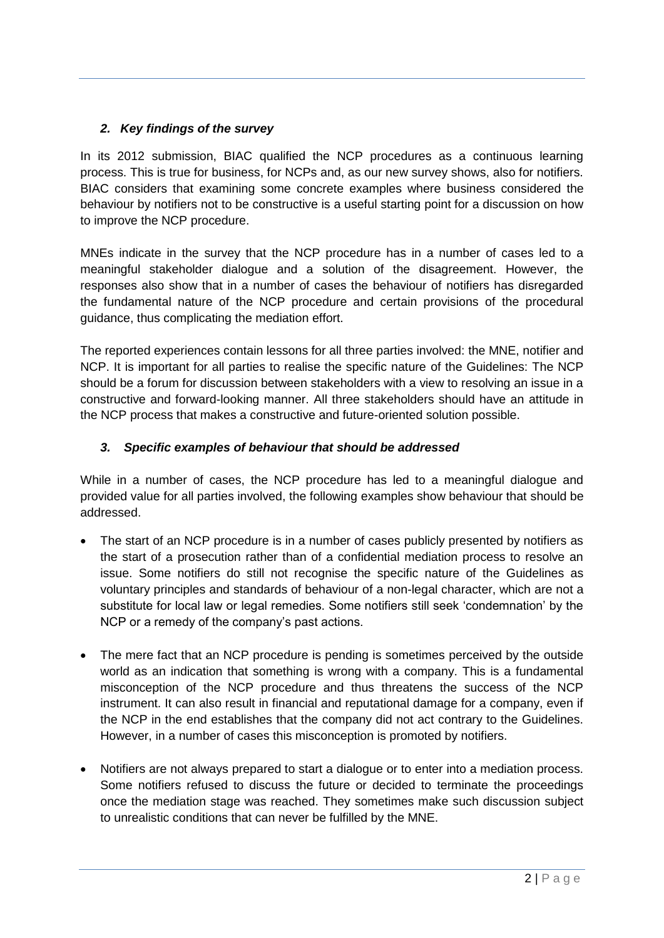## *2. Key findings of the survey*

In its 2012 submission, BIAC qualified the NCP procedures as a continuous learning process. This is true for business, for NCPs and, as our new survey shows, also for notifiers. BIAC considers that examining some concrete examples where business considered the behaviour by notifiers not to be constructive is a useful starting point for a discussion on how to improve the NCP procedure.

MNEs indicate in the survey that the NCP procedure has in a number of cases led to a meaningful stakeholder dialogue and a solution of the disagreement. However, the responses also show that in a number of cases the behaviour of notifiers has disregarded the fundamental nature of the NCP procedure and certain provisions of the procedural guidance, thus complicating the mediation effort.

The reported experiences contain lessons for all three parties involved: the MNE, notifier and NCP. It is important for all parties to realise the specific nature of the Guidelines: The NCP should be a forum for discussion between stakeholders with a view to resolving an issue in a constructive and forward-looking manner. All three stakeholders should have an attitude in the NCP process that makes a constructive and future-oriented solution possible.

# *3. Specific examples of behaviour that should be addressed*

While in a number of cases, the NCP procedure has led to a meaningful dialogue and provided value for all parties involved, the following examples show behaviour that should be addressed.

- The start of an NCP procedure is in a number of cases publicly presented by notifiers as the start of a prosecution rather than of a confidential mediation process to resolve an issue. Some notifiers do still not recognise the specific nature of the Guidelines as voluntary principles and standards of behaviour of a non-legal character, which are not a substitute for local law or legal remedies. Some notifiers still seek 'condemnation' by the NCP or a remedy of the company's past actions.
- The mere fact that an NCP procedure is pending is sometimes perceived by the outside world as an indication that something is wrong with a company. This is a fundamental misconception of the NCP procedure and thus threatens the success of the NCP instrument. It can also result in financial and reputational damage for a company, even if the NCP in the end establishes that the company did not act contrary to the Guidelines. However, in a number of cases this misconception is promoted by notifiers.
- Notifiers are not always prepared to start a dialogue or to enter into a mediation process. Some notifiers refused to discuss the future or decided to terminate the proceedings once the mediation stage was reached. They sometimes make such discussion subject to unrealistic conditions that can never be fulfilled by the MNE.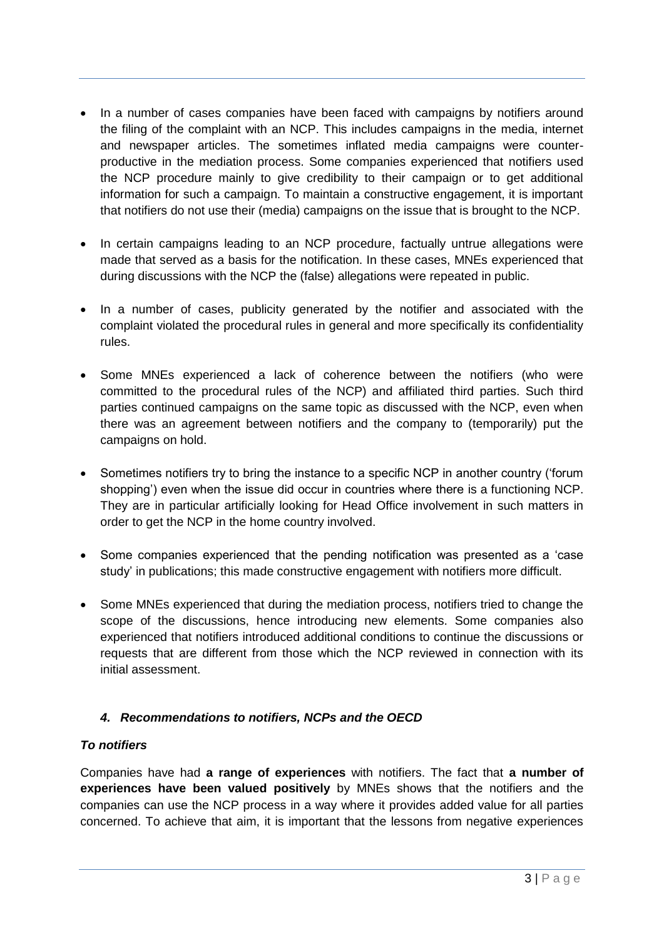- In a number of cases companies have been faced with campaigns by notifiers around the filing of the complaint with an NCP. This includes campaigns in the media, internet and newspaper articles. The sometimes inflated media campaigns were counterproductive in the mediation process. Some companies experienced that notifiers used the NCP procedure mainly to give credibility to their campaign or to get additional information for such a campaign. To maintain a constructive engagement, it is important that notifiers do not use their (media) campaigns on the issue that is brought to the NCP.
- In certain campaigns leading to an NCP procedure, factually untrue allegations were made that served as a basis for the notification. In these cases, MNEs experienced that during discussions with the NCP the (false) allegations were repeated in public.
- In a number of cases, publicity generated by the notifier and associated with the complaint violated the procedural rules in general and more specifically its confidentiality rules.
- Some MNEs experienced a lack of coherence between the notifiers (who were committed to the procedural rules of the NCP) and affiliated third parties. Such third parties continued campaigns on the same topic as discussed with the NCP, even when there was an agreement between notifiers and the company to (temporarily) put the campaigns on hold.
- Sometimes notifiers try to bring the instance to a specific NCP in another country ('forum shopping') even when the issue did occur in countries where there is a functioning NCP. They are in particular artificially looking for Head Office involvement in such matters in order to get the NCP in the home country involved.
- Some companies experienced that the pending notification was presented as a 'case study' in publications; this made constructive engagement with notifiers more difficult.
- Some MNEs experienced that during the mediation process, notifiers tried to change the scope of the discussions, hence introducing new elements. Some companies also experienced that notifiers introduced additional conditions to continue the discussions or requests that are different from those which the NCP reviewed in connection with its initial assessment.

# *4. Recommendations to notifiers, NCPs and the OECD*

#### *To notifiers*

Companies have had **a range of experiences** with notifiers. The fact that **a number of experiences have been valued positively** by MNEs shows that the notifiers and the companies can use the NCP process in a way where it provides added value for all parties concerned. To achieve that aim, it is important that the lessons from negative experiences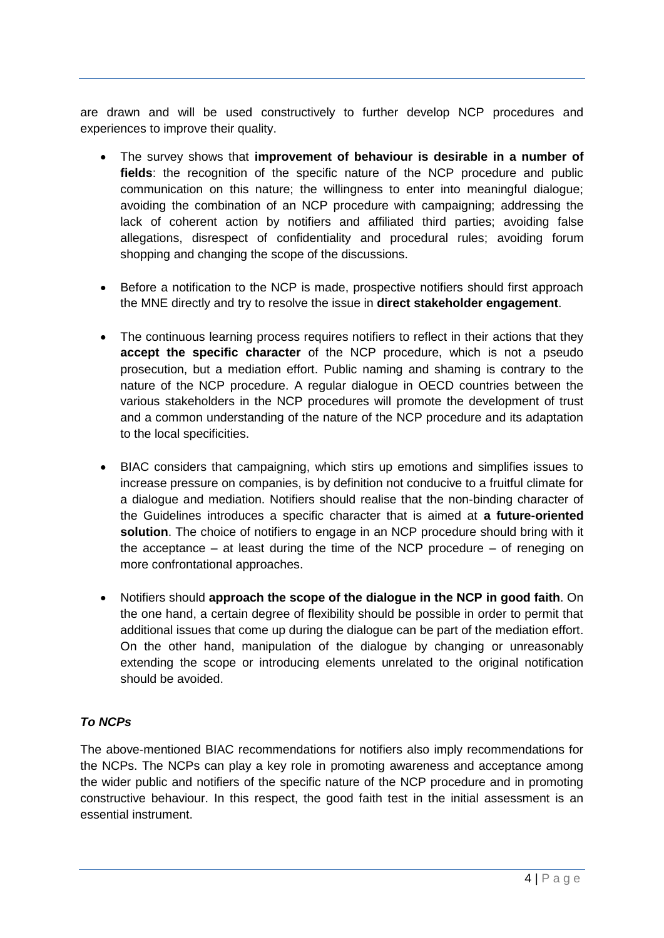are drawn and will be used constructively to further develop NCP procedures and experiences to improve their quality.

- The survey shows that **improvement of behaviour is desirable in a number of fields**: the recognition of the specific nature of the NCP procedure and public communication on this nature; the willingness to enter into meaningful dialogue; avoiding the combination of an NCP procedure with campaigning; addressing the lack of coherent action by notifiers and affiliated third parties; avoiding false allegations, disrespect of confidentiality and procedural rules; avoiding forum shopping and changing the scope of the discussions.
- Before a notification to the NCP is made, prospective notifiers should first approach the MNE directly and try to resolve the issue in **direct stakeholder engagement**.
- The continuous learning process requires notifiers to reflect in their actions that they **accept the specific character** of the NCP procedure, which is not a pseudo prosecution, but a mediation effort. Public naming and shaming is contrary to the nature of the NCP procedure. A regular dialogue in OECD countries between the various stakeholders in the NCP procedures will promote the development of trust and a common understanding of the nature of the NCP procedure and its adaptation to the local specificities.
- BIAC considers that campaigning, which stirs up emotions and simplifies issues to increase pressure on companies, is by definition not conducive to a fruitful climate for a dialogue and mediation. Notifiers should realise that the non-binding character of the Guidelines introduces a specific character that is aimed at **a future-oriented solution**. The choice of notifiers to engage in an NCP procedure should bring with it the acceptance – at least during the time of the NCP procedure – of reneging on more confrontational approaches.
- Notifiers should **approach the scope of the dialogue in the NCP in good faith**. On the one hand, a certain degree of flexibility should be possible in order to permit that additional issues that come up during the dialogue can be part of the mediation effort. On the other hand, manipulation of the dialogue by changing or unreasonably extending the scope or introducing elements unrelated to the original notification should be avoided.

#### *To NCPs*

The above-mentioned BIAC recommendations for notifiers also imply recommendations for the NCPs. The NCPs can play a key role in promoting awareness and acceptance among the wider public and notifiers of the specific nature of the NCP procedure and in promoting constructive behaviour. In this respect, the good faith test in the initial assessment is an essential instrument.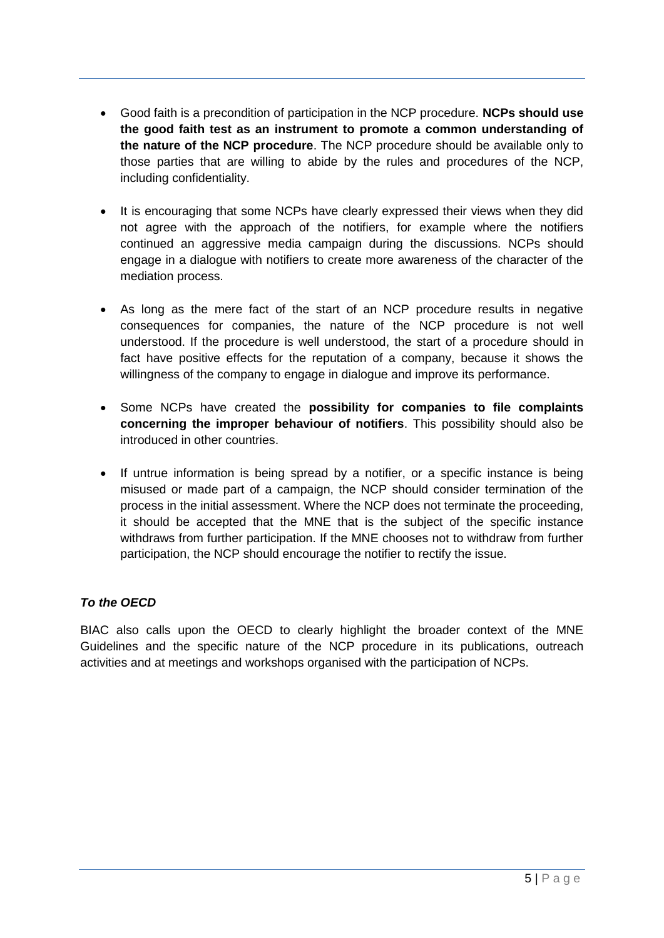- Good faith is a precondition of participation in the NCP procedure. **NCPs should use the good faith test as an instrument to promote a common understanding of the nature of the NCP procedure**. The NCP procedure should be available only to those parties that are willing to abide by the rules and procedures of the NCP, including confidentiality.
- It is encouraging that some NCPs have clearly expressed their views when they did not agree with the approach of the notifiers, for example where the notifiers continued an aggressive media campaign during the discussions. NCPs should engage in a dialogue with notifiers to create more awareness of the character of the mediation process.
- As long as the mere fact of the start of an NCP procedure results in negative consequences for companies, the nature of the NCP procedure is not well understood. If the procedure is well understood, the start of a procedure should in fact have positive effects for the reputation of a company, because it shows the willingness of the company to engage in dialogue and improve its performance.
- Some NCPs have created the **possibility for companies to file complaints concerning the improper behaviour of notifiers**. This possibility should also be introduced in other countries.
- If untrue information is being spread by a notifier, or a specific instance is being misused or made part of a campaign, the NCP should consider termination of the process in the initial assessment. Where the NCP does not terminate the proceeding, it should be accepted that the MNE that is the subject of the specific instance withdraws from further participation. If the MNE chooses not to withdraw from further participation, the NCP should encourage the notifier to rectify the issue.

# *To the OECD*

BIAC also calls upon the OECD to clearly highlight the broader context of the MNE Guidelines and the specific nature of the NCP procedure in its publications, outreach activities and at meetings and workshops organised with the participation of NCPs.